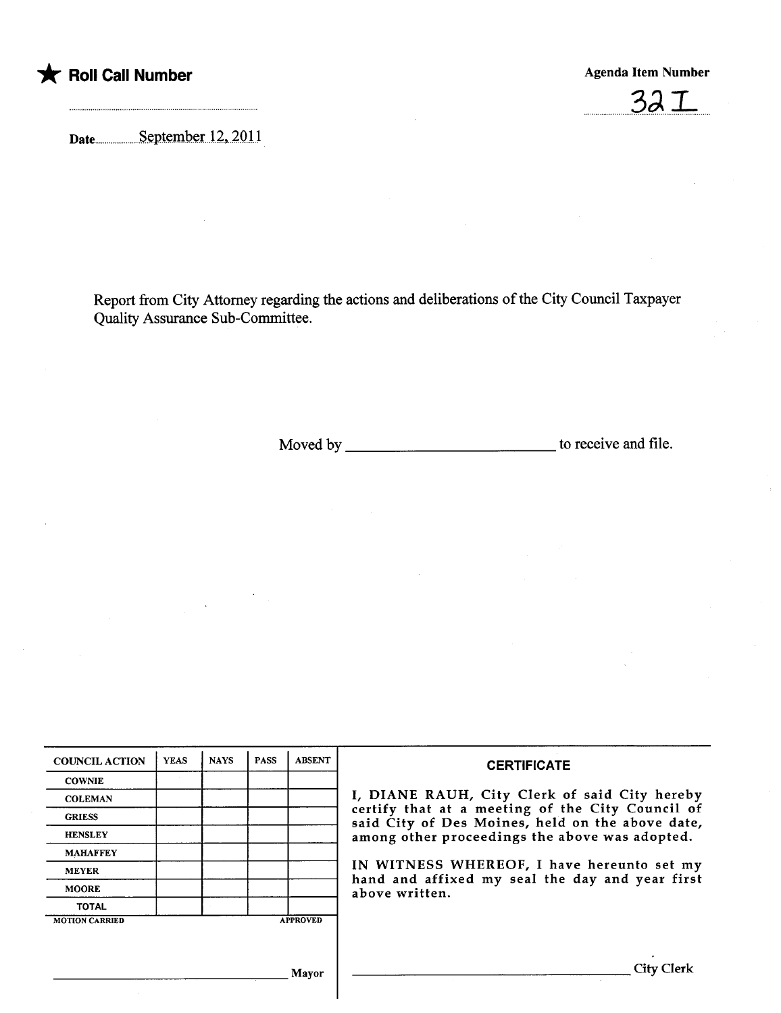



Date<sub>uu</sub>uuuuuuuuuu September 12, 2011

Report from City Attorney regarding the actions and deliberations of the City Council Taxpayer Quality Assurance Sub-Committee.

Moved by to receive and fie.

| <b>COUNCIL ACTION</b> | <b>YEAS</b> | <b>NAYS</b> | <b>PASS</b> | <b>ABSENT</b>   | <b>CERTIFICATE</b>                                                                                                                                                                                                                                                                                                         |
|-----------------------|-------------|-------------|-------------|-----------------|----------------------------------------------------------------------------------------------------------------------------------------------------------------------------------------------------------------------------------------------------------------------------------------------------------------------------|
| <b>COWNIE</b>         |             |             |             |                 | I, DIANE RAUH, City Clerk of said City hereby<br>certify that at a meeting of the City Council of<br>said City of Des Moines, held on the above date,<br>among other proceedings the above was adopted.<br>IN WITNESS WHEREOF, I have hereunto set my<br>hand and affixed my seal the day and year first<br>above written. |
| <b>COLEMAN</b>        |             |             |             |                 |                                                                                                                                                                                                                                                                                                                            |
| <b>GRIESS</b>         |             |             |             |                 |                                                                                                                                                                                                                                                                                                                            |
| <b>HENSLEY</b>        |             |             |             |                 |                                                                                                                                                                                                                                                                                                                            |
| <b>MAHAFFEY</b>       |             |             |             |                 |                                                                                                                                                                                                                                                                                                                            |
| <b>MEYER</b>          |             |             |             |                 |                                                                                                                                                                                                                                                                                                                            |
| <b>MOORE</b>          |             |             |             |                 |                                                                                                                                                                                                                                                                                                                            |
| <b>TOTAL</b>          |             |             |             |                 |                                                                                                                                                                                                                                                                                                                            |
| <b>MOTION CARRIED</b> |             |             |             | <b>APPROVED</b> |                                                                                                                                                                                                                                                                                                                            |
|                       |             |             |             |                 |                                                                                                                                                                                                                                                                                                                            |
|                       |             |             |             | Mavor           | City Clerk                                                                                                                                                                                                                                                                                                                 |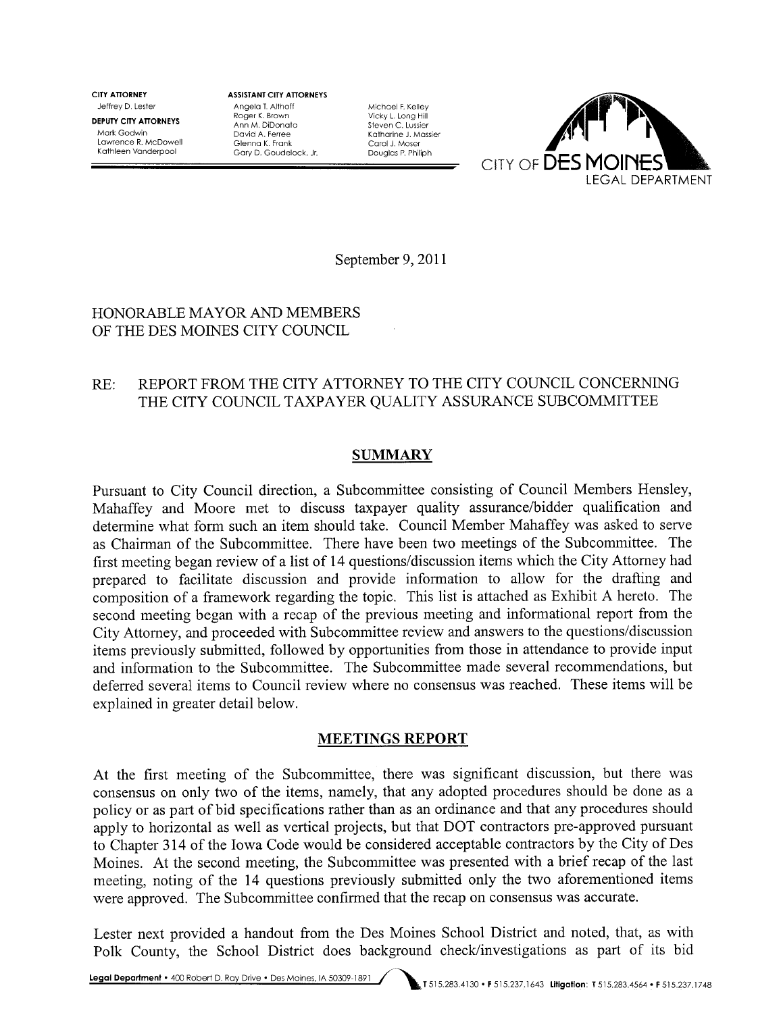CITY ATTORNEY Jeffrey D. Lester

DEPUTY CITY ATTORNEYS Mark Godwin Lawrence R. McDowell Kathleen Vanderpool

ASSISTANT CITY ATTORNEYS Angela T Althoff Roger K. Brown Ann M. DiDonato David A. Ferree Glenna K. Frank Gary D. Goudelock. Jr.

Michael F. Kelley Vicky L. Long Hill Steven C. Lussier Katharine J. Massier Carol J. Moser Douglas P. Philiph



September 9, 2011

### HONORABLE MAYOR AND MEMBERS OF THE DES MOINES CITY COUNCIL

# RE: REPORT FROM THE CITY ATTORNEY TO THE CITY COUNCIL CONCERNING THE CITY COUNCIL TAXPAYER QUALITY ASSURANCE SUBCOMMITTEE

## SUMMARY

Pursuant to City Council direction, a Subcommittee consisting of Council Members Hensley, Mahaffey and Moore met to discuss taxpayer quality assurance/bidder qualification and determine what form such an item should take. Council Member Mahaffey was asked to serve as Chairman of the Subcommittee. There have been two meetings of the Subcommittee. The first meeting began review of a list of 14 questions/discussion items which the City Attorney had prepared to facilitate discussion and provide information to allow for the drafting and composition of a framework regarding the topic. This list is attached as Exhibit A hereto. The second meeting began with a recap of the previous meeting and informational report from the City Attorney, and proceeded with Subcommittee review and answers to the questions/discussion items previously submitted, followed by opportunities from those in attendance to provide input and information to the Subcommittee. The Subcommittee made several recommendations, but deferred several items to Council review where no consensus was reached. These items wil be explained in greater detail below.

## MEETINGS REPORT

At the first meeting of the Subcommittee, there was significant discussion, but there was consensus on only two of the items, namely, that any adopted procedures should be done as a policy or as part of bid specifications rather than as an ordinance and that any procedures should apply to horizontal as well as vertical projects, but that DOT contractors pre-approved pursuant to Chapter 314 of the Iowa Code would be considered acceptable contractors by the City of Des Moines. At the second meeting, the Subcommittee was presented with a brief recap of the last meeting, noting of the 14 questions previously submitted only the two aforementioned items were approved. The Subcommittee confirmed that the recap on consensus was accurate.

Lester next provided a handout from the Des Moines School District and noted, that, as with Polk County, the School District does background check/investigations as part of its bid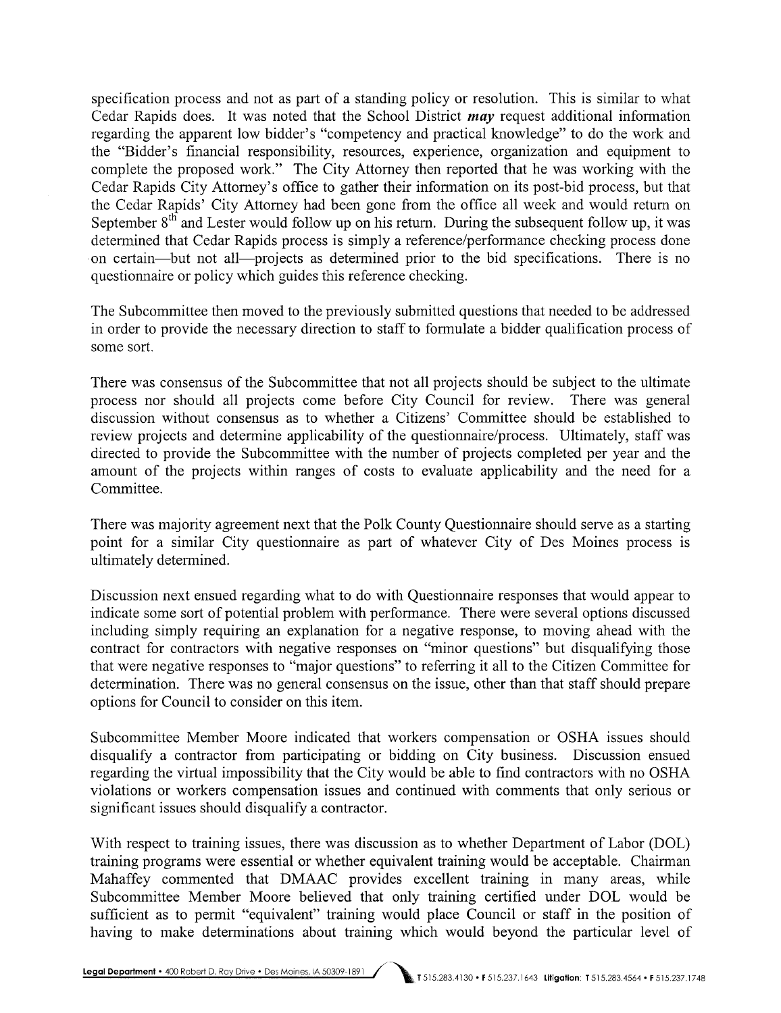specification process and not as part of a standing policy or resolution. This is similar to what Cedar Rapids does. It was noted that the School District may request additional information regarding the apparent low bidder's "competency and practical knowledge" to do the work and the "Bidder's financial responsibility, resources, experience, organization and equipment to complete the proposed work." The City Attorney then reported that he was working with the Cedar Rapids City Attorney's office to gather their information on its post-bid process, but that the Cedar Rapids' City Attorney had been gone from the office all week and would return on September  $8<sup>th</sup>$  and Lester would follow up on his return. During the subsequent follow up, it was determined that Cedar Rapids process is simply a reference/performance checking process done on certain-but not all-projects as determined prior to the bid specifications. There is no questionnaire or policy which guides this reference checking.

The Subcommittee then moved to the previously submitted questions that needed to be addressed in order to provide the necessary direction to staff to formulate a bidder qualification process of some sort.

There was consensus of the Subcommittee that not all projects should be subject to the ultimate process nor should all projects come before City Council for review. There was general discussion without consensus as to whether a Citizens' Committee should be established to review projects and determine applicability of the questionnaire/process. Ultimately, staff was directed to provide the Subcommittee with the number of projects completed per year and the amount of the projects within ranges of costs to evaluate applicability and the need for a Committee.

There was majority agreement next that the Polk County Questionnaire should serve as a starting point for a similar City questionnaire as part of whatever City of Des Moines process is ultimately determined.

Discussion next ensued regarding what to do with Questionnaire responses that would appear to indicate some sort of potential problem with performance. There were several options discussed including simply requiring an explanation for a negative response, to moving ahead with the contract for contractors with negative responses on "minor questions" but disqualifying those that were negative responses to "major questions" to referring it all to the Citizen Committee for determination. There was no general consensus on the issue, other than that staff should prepare options for Council to consider on this item.

Subcommittee Member Moore indicated that workers compensation or OSHA issues should disqualify a contractor from participating or bidding on City business. Discussion ensued regarding the virtual impossibility that the City would be able to find contractors with no OSHA violations or workers compensation issues and continued with comments that only serious or significant issues should disqualify a contractor.

With respect to training issues, there was discussion as to whether Department of Labor (DOL) training programs were essential or whether equivalent training would be acceptable. Chairman Mahaffey commented that DMAAC provides excellent training in many areas, while Subcommittee Member Moore believed that only training certified under DOL would be sufficient as to permit "equivalent" training would place Council or staff in the position of having to make determinations about training which would beyond the particular level of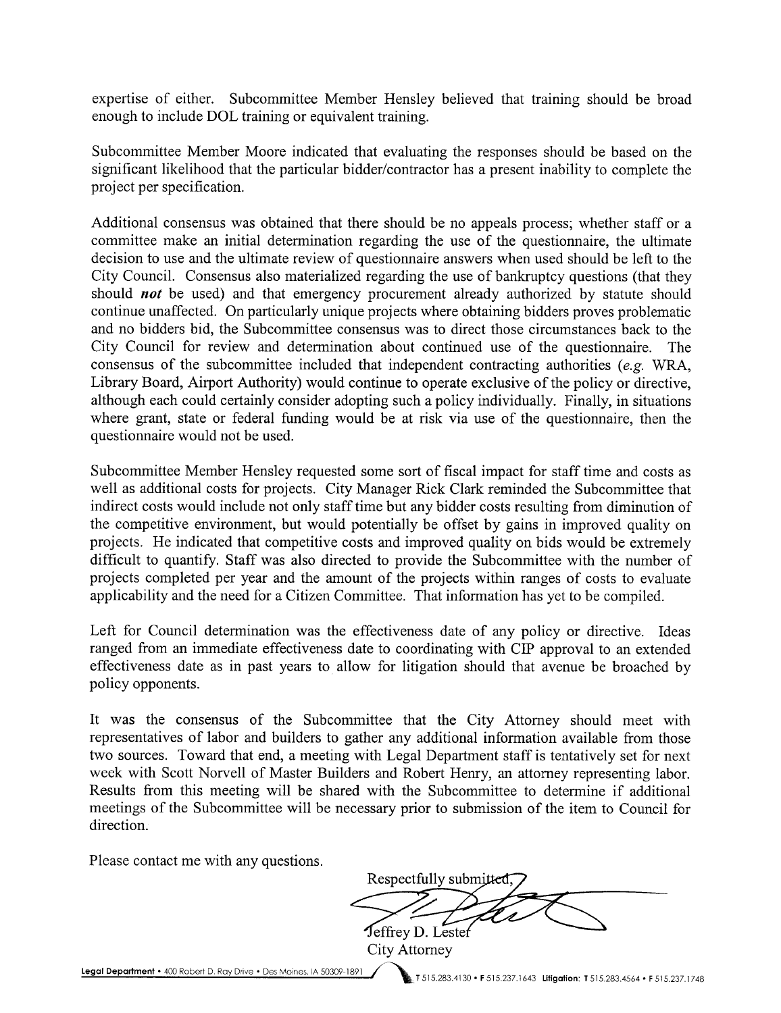expertise of either. Subcommittee Member Hensley believed that training should be broad enough to include DOL training or equivalent training.

Subcommittee Member Moore indicated that evaluating the responses should be based on the significant likelihood that the particular bidder/contractor has a present inability to complete the project per specification.

Additional consensus was obtained that there should be no appeals process; whether staff or a committee make an initial determination regarding the use of the questionnaire, the ultimate decision to use and the ultimate review of questionnaire answers when used should be left to the City Council. Consensus also materialized regarding the use of bankruptcy questions (that they should *not* be used) and that emergency procurement already authorized by statute should continue unaffected. On particularly unique projects where obtaining bidders proves problematic and no bidders bid, the Subcommittee consensus was to direct those circumstances back to the City Council for review and determination about continued use of the questionnaire. The consensus of the subcommittee included that independent contracting authorities  $(e.g. WRA,$ Library Board, Airport Authority) would continue to operate exclusive of the policy or directive, although each could certainly consider adopting such a policy individually. Finally, in situations where grant, state or federal funding would be at risk via use of the questionnaire, then the questionnaire would not be used.

Subcommittee Member Hensley requested some sort of fiscal impact for staff time and costs as well as additional costs for projects. City Manager Rick Clark reminded the Subcommittee that indirect costs would include not only staff time but any bidder costs resulting from diminution of the competitive environment, but would potentially be offset by gains in improved quality on projects. He indicated that competitive costs and improved quality on bids would be extremely difficult to quantify. Staff was also directed to provide the Subcommittee with the number of projects completed per year and the amount of the projects within ranges of costs to evaluate applicability and the need for a Citizen Committee. That information has yet to be compiled.

Left for Council determination was the effectiveness date of any policy or directive. Ideas ranged from an immediate effectiveness date to coordinating with CIP approval to an extended effectiveness date as in past years to allow for litigation should that avenue be broached by policy opponents.

It was the consensus of the Subcommittee that the City Attorney should meet with representatives of labor and builders to gather any additional information available from those two sources. Toward that end, a meeting with Legal Department staff is tentatively set for next week with Scott Norvell of Master Builders and Robert Henry, an attorney representing labor. Results from this meeting will be shared with the Subcommittee to determine if additional meetings of the Subcommittee will be necessary prior to submission of the item to Council for direction.

Please contact me with any questions.

Respectfully submitted Jeffrey D. Lester